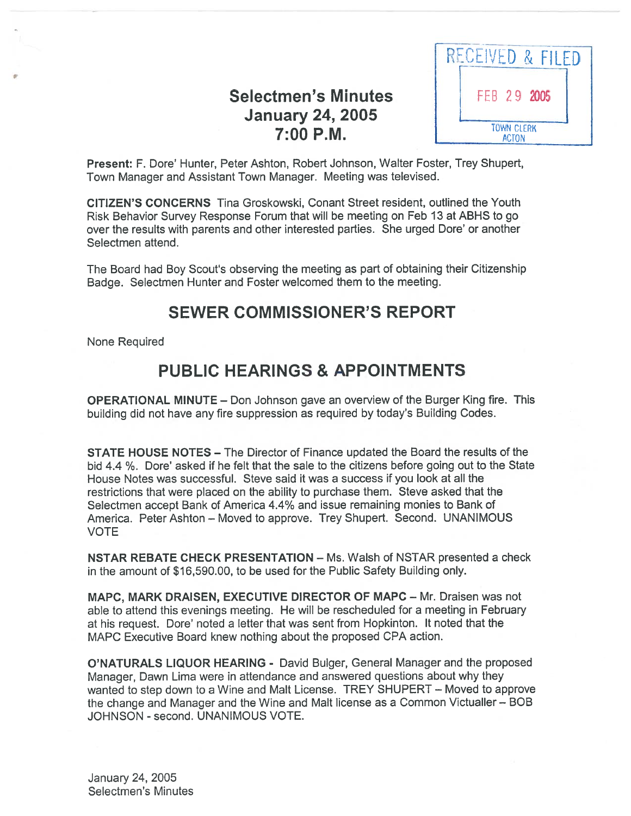# Selectmen's Minutes January 24, 2005



Present: F. Dore' Hunter, Peter Ashton, Robert Johnson, Walter Foster, Trey Shupert, Town Manager and Assistant Town Manager. Meeting was televised.

CITIZEN'S CONCERNS Tina Groskowski, Conant Street resident, outlined the Youth Risk Behavior Survey Response Forum that will be meeting on Feb 13 at ABHS to go over the results with parents and other interested parties. She urged Dote' or another Selectmen attend.

The Board had Boy Scout's observing the meeting as par<sup>t</sup> of obtaining their Citizenship Badge. Selectmen Hunter and Foster welcomed them to the meeting.

## SEWER COMMISSIONER'S REPORT

None Required

# PUBLIC HEARINGS & APPOINTMENTS

OPERATIONAL MINUTE — Don Johnson gave an overview of the Burger King fire. This building did not have any fire suppression as required by today's Building Codes.

STATE HOUSE NOTES — The Director of Finance updated the Board the results of the bid 4.4 ¾. Dore' asked if he felt that the sale to the citizens before going out to the State House Notes was successful. Steve said it was <sup>a</sup> success if you look at all the restrictions that were placed on the ability to purchase them. Steve asked that the Selectmen accep<sup>t</sup> Bank of America 4.4% and issue remaining monies to Bank of America. Peter Ashton — Moved to approve. Trey Shupert. Second. UNANIMOUS VOTE

NSTAR REBATE CHECK PRESENTATION — Ms. Walsh of NSTAR presented <sup>a</sup> check in the amount of \$16,590.00, to be used for the Public Safety Building only.

MAPC, MARK DRAISEN, EXECUTIVE DIRECTOR OF MAPC — Mr. Draisen was not able to attend this evenings meeting. He will be rescheduled for <sup>a</sup> meeting in February at his request. Dore' noted a letter that was sent from Hopkinton. It noted that the MAPC Executive Board knew nothing about the proposed CPA action.

O'NATURALS LIQUOR HEARING - David Bulger, General Manager and the proposed Manager, Dawn Lima were in attendance and answered questions about why they wanted to step down to <sup>a</sup> Wine and Malt License. TREY SHUPERT — Moved to approve the change and Manager and the Wine and Malt license as <sup>a</sup> Common Victualler — BOB JOHNSON - second. UNANIMOUS VOTE.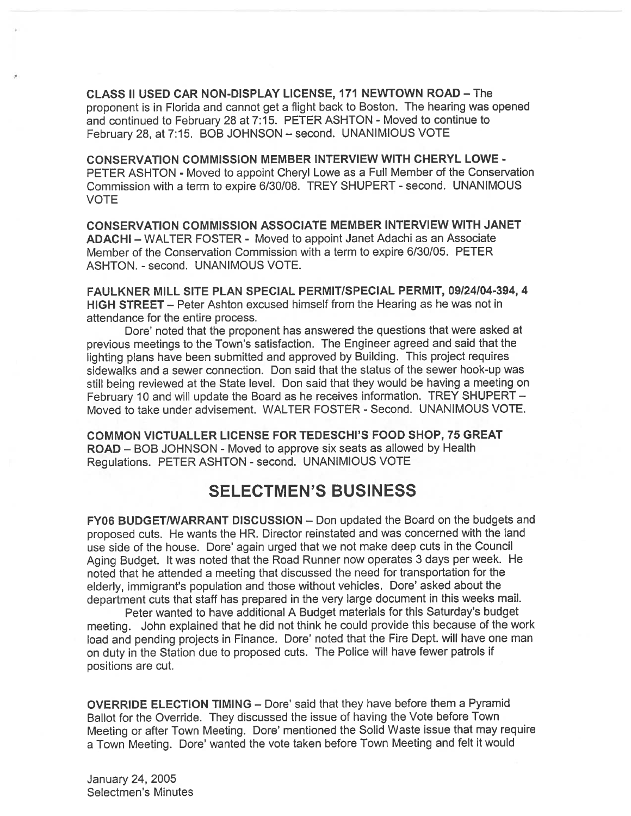CLASS II USED CAR NON-DISPLAY LICENSE, 171 NEWTOWN ROAD — The proponen<sup>t</sup> is in Florida and cannot ge<sup>t</sup> <sup>a</sup> flight back to Boston. The heating was opene<sup>d</sup> and continued to February 28 at 7:15. PETER ASHTON - Moved to continue to February 28, at 7:15. BOB JOHNSON — second. UNANIMIOUS VOTE

CONSERVATION COMMISSION MEMBER INTERVIEW WITH CHERYL LOWE - PETER ASHTON - Moved to appoint Cheryl Lowe as <sup>a</sup> Full Member of the Conservation Commission with a term to expire 6/30/08. TREY SHUPERT - second. UNANIMOUS VOTE

CONSERVATION COMMISSION ASSOCIATE MEMBER INTERVIEW WITH JANET ADACHI — WALTER FOSTER - Moved to appoint Janet Adachi as an Associate Member of the Conservation Commission with <sup>a</sup> term to expire 6/30/05. PETER ASHTON. - second. UNANIMOUS VOTE.

FAULKNER MILL SITE PLAN SPECIAL PERMIT/SPECIAL PERMIT, 09/24/04-394, 4 HIGH STREET — Peter Ashton excused himself from the Hearing as he was not in attendance for the entire process.

Dore' noted that the proponen<sup>t</sup> has answered the questions that were asked at previous meetings to the Town's satisfaction. The Engineer agree<sup>d</sup> and said that the lighting <sup>p</sup>lans have been submitted and approve<sup>d</sup> by Building. This project requires sidewalks and <sup>a</sup> sewer connection. Don said that the status of the sewer hook-up was still being reviewed at the State level. Don said that they would be having <sup>a</sup> meeting on February <sup>10</sup> and will update the Board as he receives information. TREY SHUPERT — Moved to take under advisement. WALTER FOSTER - Second. UNANIMOUS VOTE.

COMMON VICTUALLER LICENSE FOR TEDESCHI'S FOOD SHOP, 75 GREAT ROAD — BOB JOHNSON - Moved to approve six seats as allowed by Health Regulations. PETER ASHTON - second. UNANIMIOUS VOTE

## SELECTMEN'S BUSINESS

FY06 BUDGET/WARRANT DISCUSSION — Don updated the Board on the budgets and propose<sup>d</sup> cuts. He wants the HR. Director reinstated and was concerned with the land use side of the house. Dore' again urged that we not make deep cuts in the Council Aging Budget. It was noted that the Road Runner now operates <sup>3</sup> days per week. He noted that he attended <sup>a</sup> meeting that discussed the need for transportation for the elderly, immigrant's population and those without vehicles. Dore' asked about the department cuts that staff has prepare<sup>d</sup> in the very large document in this weeks mail.

Peter wanted to have additional <sup>A</sup> Budget materials for this Saturday's budget meeting. John explained that he did not think he could provide this because of the work load and pending projects in Finance. Dore' noted that the Fire Dept. will have one man on duty in the Station due to propose<sup>d</sup> cuts. The Police will have fewer patrols if positions are cut.

OVERRIDE ELECTION TIMING — Dote' said that they have before them <sup>a</sup> Pyramid Ballot for the Override. They discussed the issue of having the Vote before Town Meeting or after Town Meeting. Dore' mentioned the Solid Waste issue that may requite <sup>a</sup> Town Meeting. Dore' wanted the vote taken before Town Meeting and felt it would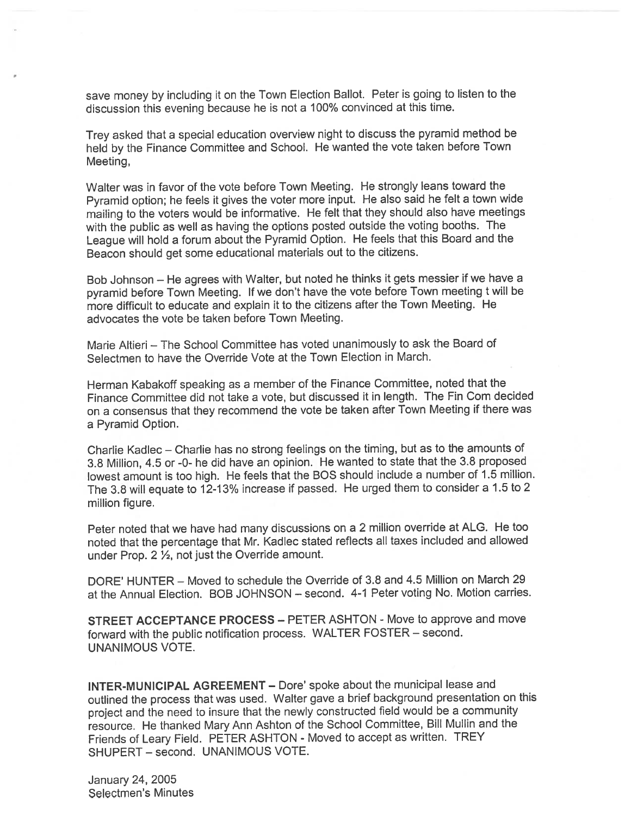save money by including it on the Town Election Ballot. Peter is going to listen to the discussion this evening because he is not <sup>a</sup> 100% convinced at this time.

Trey asked that <sup>a</sup> special education overview night to discuss the pyramid method be held by the Finance Committee and School. He wanted the vote taken before Town Meeting,

Walter was in favor of the vote before Town Meeting. He strongly leans toward the Pyramid option; he feels it <sup>g</sup>ives the voter more input. He also said he felt <sup>a</sup> town wide mailing to the voters would be informative. He felt that they should also have meetings with the public as well as having the options posted outside the voting booths. The League will hold <sup>a</sup> forum about the Pyramid Option. He feels that this Board and the Beacon should ge<sup>t</sup> some educational materials out to the citizens.

Bob Johnson — He agrees with Walter, but noted he thinks it gets messier if we have <sup>a</sup> pyramid before Town Meeting. If we don't have the vote before Town meeting <sup>t</sup> will be more difficult to educate and explain it to the citizens after the Town Meeting. He advocates the vote be taken before Town Meeting.

Marie Altieri — The School Committee has voted unanimously to ask the Board of Selectmen to have the Override Vote at the Town Election in March.

Herman Kabakoff speaking as <sup>a</sup> member of the Finance Committee, noted that the Finance Committee did not take a vote, but discussed it in length. The Fin Com decided on <sup>a</sup> consensus that they recommend the vote be taken after Town Meeting if there was <sup>a</sup> Pyramid Option.

Charlie Kadlec — Charlie has no strong feelings on the timing, but as to the amounts of 3.8 Million, 4.5 or -0- he did have an opinion. He wanted to state that the 3.8 propose<sup>d</sup> lowest amount is too high. He feels that the BOS should include <sup>a</sup> number of 1.5 million. The 3.8 will equate to 12-13% increase if passed. He urge<sup>d</sup> them to consider <sup>a</sup> 1.5 to <sup>2</sup> million figure.

Peter noted that we have had many discussions on <sup>a</sup> <sup>2</sup> million override at ALG. He too noted that the percentage that Mr. Kadlec stated reflects all taxes included and allowed under Prop.  $2 \frac{1}{2}$ , not just the Override amount.

DORE' HUNTER — Moved to schedule the Override of 3.8 and 4.5 Million on March 29 at the Annual Election. BOB JOHNSON — second. 4-1 Peter voting No. Motion carries.

STREET ACCEPTANCE PROCESS — PETER ASHTON - Move to approve and move forward with the public notification process. WALTER FOSTER — second. UNANIMOUS VOTE.

INTER-MUNICIPAL AGREEMENT — Dote' spoke about the municipal lease and outlined the process that was used. Walter gave <sup>a</sup> brief background presentation on this project and the need to insure that the newly constructed field would be <sup>a</sup> community resource. He thanked Mary Ann Ashton of the School Committee, Bill Mullin and the Friends of Leary Field. PETER ASHTON - Moved to accept as written. TREY SHUPERT — second. UNANIMOUS VOTE.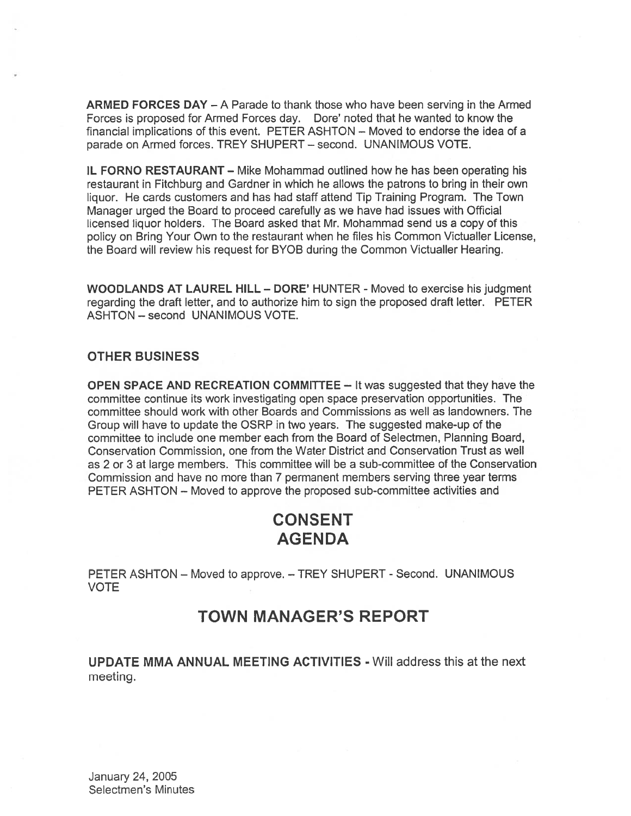ARMED FORCES DAY — A Parade to thank those who have been serving in the Armed Forces is proposed for Armed Forces day. Dore' noted that he wanted to know the financial implications of this event. PETER ASHTON — Moved to endorse the idea of <sup>a</sup> parade on Armed forces. TREY SHUPERT — second. UNANIMOUS VOTE.

IL FORNO RESTAURANT — Mike Mohammad outlined how he has been operating his restaurant in Fitchburg and Gardner in which he allows the patrons to bring in their own liquor. He cards customers and has had staff attend Tip Training Program. The Town Manager urged the Board to proceed carefully as we have had issues with Official licensed liquor holders. The Board asked that Mr. Mohammad send us <sup>a</sup> copy of this policy on Bring Your Own to the restaurant when he files his Common Victualler License, the Board will review his reques<sup>t</sup> for BYOB during the Common Victualler Hearing.

WOODLANDS AT LAUREL HILL — DORE' HUNTER - Moved to exercise his judgment regarding the draft letter, and to authorize him to sign the proposed draft letter. PETER ASHTON — second UNANIMOUS VOTE.

#### OTHER BUSINESS

OPEN SPACE AND RECREATION COMMITTEE — It was suggested that they have the committee continue its work investigating open space preservation opportunities. The committee should work with other Boards and Commissions as well as landowners. The Group will have to update the OSRP in two years. The suggested make-up of the committee to include one member each from the Board of Selectmen, Planning Board, Conservation Commission, one from the Water District and Conservation Trust as well as 2 or 3 at large members. This committee will be <sup>a</sup> sub-committee of the Conservation Commission and have no more than 7 permanen<sup>t</sup> members serving three year terms PETER ASHTON — Moved to approve the proposed sub-committee activities and

## CONSENT AGENDA

PETER ASHTON — Moved to approve. — TREY SHUPERT - Second. UNANIMOUS VOTE

## TOWN MANAGER'S REPORT

UPDATE MMA ANNUAL MEETING ACTIVITIES - Will address this at the next meeting.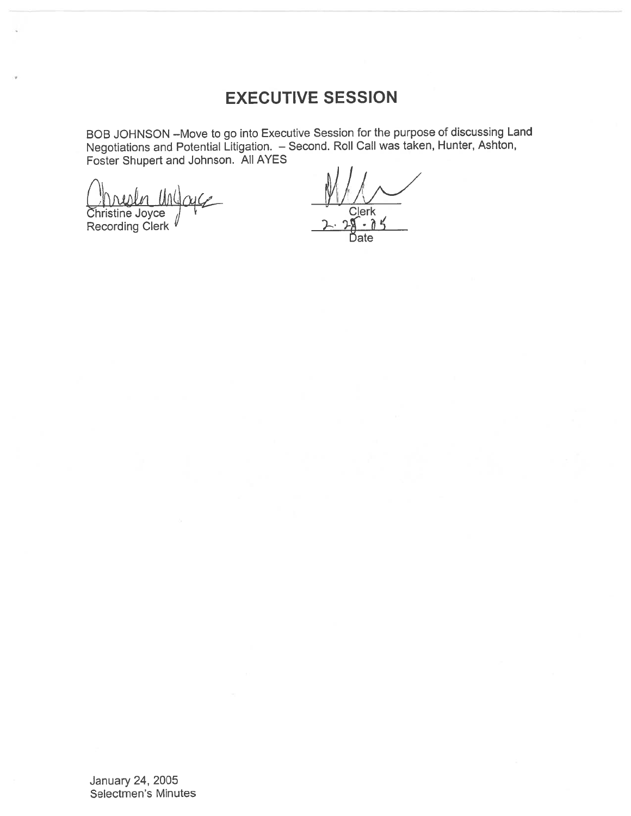# EXECUTIVE SESSION

BOB JOHNSON —Move to go into Executive Session for the purpose of discussing Land Negotiations and Potential Litigation. — Second. Roll Call was taken, Hunter, Ashton, Foster Shupert and Johnson. All AYES

Christine Joyce , Clerk Recording Clerk , 2. 28 . 0

Date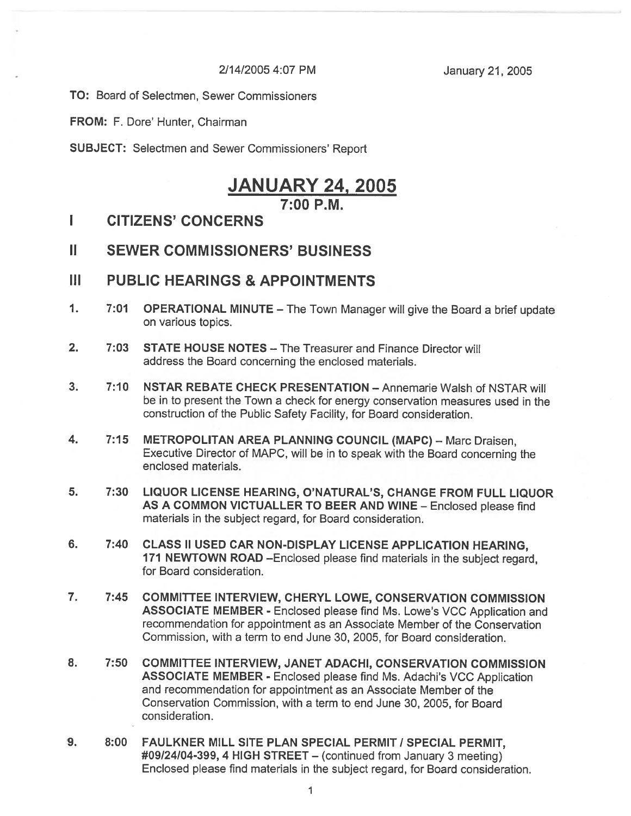2/14/2005 4:07 PM January 21, 2005

TO: Board of Selectmen, Sewer Commissioners

FROM: F. Dore' Hunter, Chairman

SUBJECT: Selectmen and Sewer Commissioners' Report

## **JANUARY 24, 2005**  $7:00 P M$

#### I CITIZENS' CONCERNS

## II SEWER COMMISSIONERS' BUSINESS

#### III PUBLIC HEARINGS & APPOINTMENTS

- 1. 7:01 OPERATIONAL MINUTE The Town Manager will <sup>g</sup>ive the Board <sup>a</sup> brief update on various topics.
- 2. 7:03 STATE HOUSE NOTES The Treasurer and Finance Director will address the Board concerning the enclosed materials.
- 3. 7:10 NSTAR REBATE CHECK PRESENTATION Annemarie Walsh of NSTAR will be in to presen<sup>t</sup> the Town <sup>a</sup> check for energy conservation measures used in the construction of the Public Safety Facility, for Board consideration.
- 4. 7:15 METROPOLITAN AREA PLANNING COUNCIL (MAPC) Marc Draisen, Executive Director of MAPC, will be in to spea<sup>k</sup> with the Board concerning the enclosed materials.
- 5. 7:30 LIQUOR LICENSE HEARING, O'NATURAL'S, CHANGE FROM FULL LIQUOR AS A COMMON VICTUALLER TO BEER AND WINE - Enclosed please find materials in the subject regard, for Board consideration.
- 6. 7:40 CLASS II USED CAR NON-DISPLAY LICENSE APPLICATION HEARING, <sup>171</sup> NEWTOWN ROAD —Enclosed <sup>p</sup>lease find materials in the subject regard, for Board consideration.
- 7. 7:45 COMMITTEE INTERVIEW, CHERYL LOWE, CONSERVATION COMMISSION ASSOCIATE MEMBER - Enclosed <sup>p</sup>lease find Ms. Lowe's VCC Application and recommendation for appointment as an Associate Member of the Conservation Commission, with <sup>a</sup> term to end June 30, 2005, for Board consideration.
- 8. 7:50 COMMITTEE INTERVIEW, JANET ADACHI, CONSERVATION COMMISSION ASSOCIATE MEMBER - Enclosed <sup>p</sup>lease find Ms. Adachi's VCC Application and recommendation for appointment as an Associate Member of the Conservation Commission, with <sup>a</sup> term to end June 30, 2005, for Board consideration.
- 9. 8:00 FAULKNER MILL SITE PLAN SPECIAL PERMIT / SPECIAL PERMIT, #09/24/04-399, 4 HIGH STREET — (continued from January 3 meeting) Enclosed please find materials in the subject regard, for Board consideration.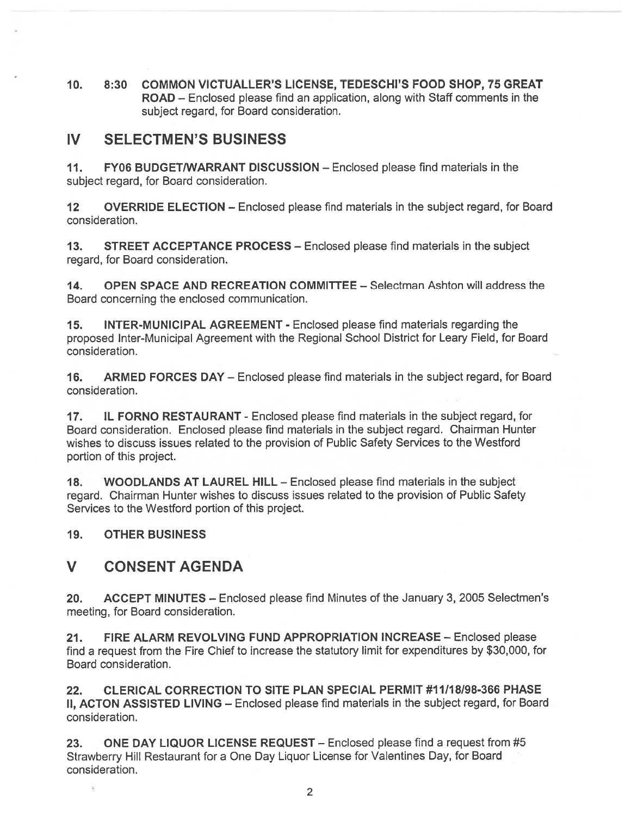10. 8:30 COMMON VICTUALLER'S LICENSE, TEDESCHI'S FOOD SHOP, 75 GREAT ROAD — Enclosed please find an application, along with Staff comments in the subject regard, for Board consideration.

## IV SELECTMEN'S BUSINESS

11. FY06 BUDGET/WARRANT DISCUSSION - Enclosed please find materials in the subject regard, for Board consideration.

12 OVERRIDE ELECTION — Enclosed please find materials in the subject regard, for Board consideration.

13. STREET ACCEPTANCE PROCESS — Enclosed please find materials in the subject regard, for Board consideration.

14. OPEN SPACE AND RECREATION COMMITTEE — Selectman Ashton will address the Board concerning the enclosed communication.

15. INTER-MUNICIPAL AGREEMENT - Enclosed please find materials regarding the proposed Inter-Municipal Agreement with the Regional School District for Leary Field, for Board consideration.

16. ARMED FORCES DAY — Enclosed please find materials in the subject regard, for Board consideration.

17. IL FORNO RESTAURANT - Enclosed please find materials in the subject regard, for Board consideration. Enclosed please find materials in the subject regard. Chairman Hunter wishes to discuss issues related to the provision of Public Safety Services to the Westford portion of this project.

18. WOODLANDS AT LAUREL HILL — Enclosed please find materials in the subject regard. Chairman Hunter wishes to discuss issues related to the provision of Public Safety Services to the Westford portion of this project.

#### 19. OTHER BUSINESS

## V CONSENT AGENDA

20. ACCEPT MINUTES — Enclosed please find Minutes of the January 3, 2005 Selectmen's meeting, for Board consideration.

21. FIRE ALARM REVOLVING FUND APPROPRIATION INCREASE — Enclosed please find <sup>a</sup> reques<sup>t</sup> from the Fire Chief to increase the statutory limit for expenditures by \$30,000, for Board consideration.

22. CLERICAL CORRECTION TO SITE PLAN SPECIAL PERMIT #11/18/98-366 PHASE II, ACTON ASSISTED LIVING – Enclosed please find materials in the subject regard, for Board consideration.

23. ONE DAY LIQUOR LICENSE REQUEST - Enclosed please find a request from #5 Strawberry Hill Restaurant for <sup>a</sup> One Day Liquor License for Valentines Day, for Board consideration.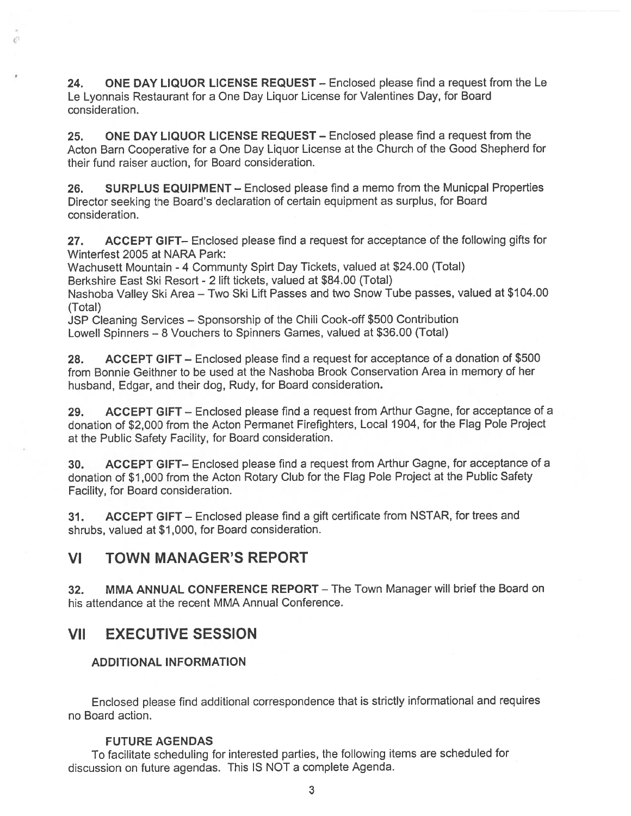24. ONE DAY LIQUOR LICENSE REQUEST – Enclosed please find a request from the Le Le Lyonnais Restaurant for <sup>a</sup> One Day Liquor License for Valentines Day, for Board consideration.

25. ONE DAY LIQUOR LICENSE REQUEST — Enclosed please find <sup>a</sup> reques<sup>t</sup> from the Acton Barn Cooperative for <sup>a</sup> One Day Liquor License at the Church of the Good Shepherd for their fund raiser auction, for Board consideration.

26. SURPLUS EQUIPMENT - Enclosed please find a memo from the Municpal Properties Director seeking the Board's declaration of certain equipment as surplus, for Board consideration.

27. ACCEPT GIFT— Enclosed please find <sup>a</sup> reques<sup>t</sup> for acceptance of the following gifts for Winterfest 2005 at NARA Park:

Wachusett Mountain - 4 Communty Spirt Day Tickets, valued at \$24.00 (Total)

Berkshire East Ski Resort - 2 lift tickets, valued at \$84.00 (Total)

 $\ell^{(1)}$ 

Nashoba Valley Ski Area — Two Ski Lift Passes and two Snow Tube passes, valued at \$104.00 (Total)

JSP Cleaning Services — Sponsorship of the Chili Cook-off \$500 Contribution Lowell Spinners — 8 Vouchers to Spinners Games, valued at \$36.00 (Total)

28. ACCEPT GIFT — Enclosed please find <sup>a</sup> reques<sup>t</sup> for acceptance of <sup>a</sup> donation of \$500 from Bonnie Geithner to be used at the Nashoba Brook Conservation Area in memory of her husband, Edgar, and their dog, Rudy, for Board consideration.

29. ACCEPT GIFT - Enclosed please find a request from Arthur Gagne, for acceptance of a donation of \$2,000 from the Acton Permanet Firefighters, Local 1904, for the Flag Pole Project at the Public Safety Facility, for Board consideration.

30. ACCEPT GIFT— Enclosed <sup>p</sup>lease find <sup>a</sup> reques<sup>t</sup> from Arthur Gagne, for acceptance of <sup>a</sup> donation of \$1 ,<sup>000</sup> from the Acton Rotary Club for the Flag Pole Project at the Public Safety Facility, for Board consideration.

31. ACCEPT GIFT — Enclosed <sup>p</sup>lease find <sup>a</sup> <sup>g</sup>ift certificate from NSTAR, for trees and shrubs, valued at \$1,000, for Board consideration.

## VI TOWN MANAGER'S REPORT

32. MMA ANNUAL CONFERENCE REPORT — The Town Manager will brief the Board on his attendance at the recent MMA Annual Conference.

## VII EXECUTIVE SESSION

#### ADDITIONAL INFORMATION

Enclosed <sup>p</sup>lease find additional correspondence that is strictly informational and requires no Board action.

#### FUTURE AGENDAS

To facilitate scheduling for interested parties, the following items are scheduled for discussion on future agendas. This IS NOT <sup>a</sup> complete Agenda.